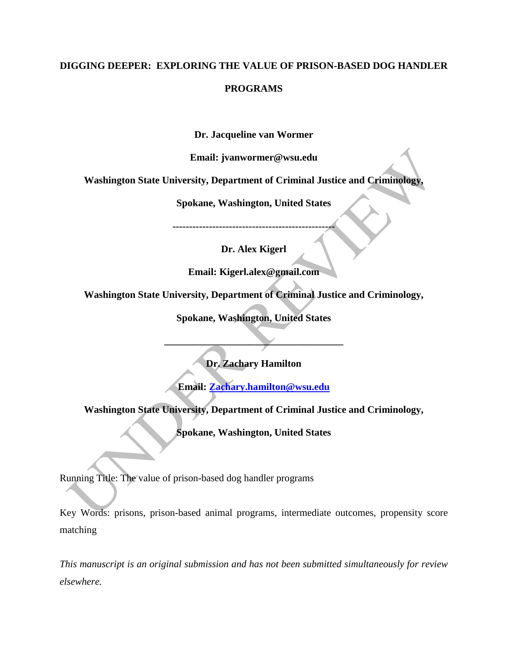# **DIGGING DEEPER: EXPLORING THE VALUE OF PRISON-BASED DOG HANDLER PROGRAMS**

**Dr. Jacqueline van Wormer** 

**Email: jvanwormer@wsu.edu**

**Washington State University, Department of Criminal Justice and Criminology,** 

**Spokane, Washington, United States**

**-------------------------------------------------**

**Dr. Alex Kigerl**

**Email: Kigerl.alex@gmail.com**

**Washington State University, Department of Criminal Justice and Criminology,** 

**Spokane, Washington, United States**

**Dr. Zachary Hamilton**

**\_\_\_\_\_\_\_\_\_\_\_\_\_\_\_\_\_\_\_\_\_\_\_\_\_\_\_\_\_\_\_\_\_\_\_\_**

**Email: [Zachary.hamilton@wsu.edu](mailto:Zachary.hamilton@wsu.edu)**

**Washington State University, Department of Criminal Justice and Criminology,** 

**Spokane, Washington, United States**

Running Title: The value of prison-based dog handler programs

Key Words: prisons, prison-based animal programs, intermediate outcomes, propensity score matching

*This manuscript is an original submission and has not been submitted simultaneously for review elsewhere.*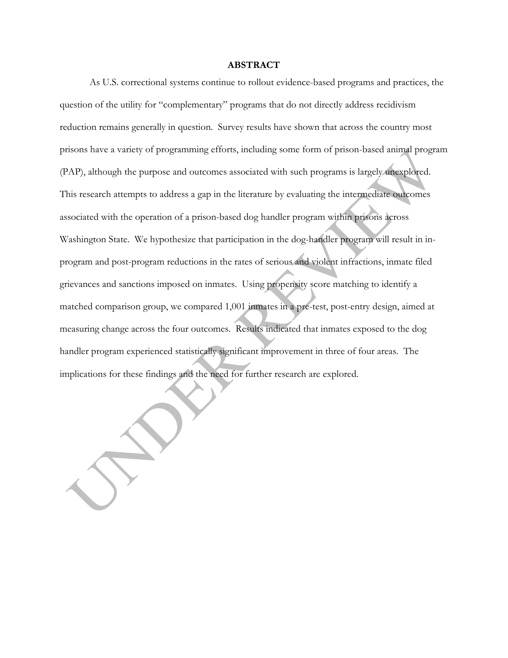#### **ABSTRACT**

As U.S. correctional systems continue to rollout evidence-based programs and practices, the question of the utility for "complementary" programs that do not directly address recidivism reduction remains generally in question. Survey results have shown that across the country most prisons have a variety of programming efforts, including some form of prison-based animal program (PAP), although the purpose and outcomes associated with such programs is largely unexplored. This research attempts to address a gap in the literature by evaluating the intermediate outcomes associated with the operation of a prison-based dog handler program within prisons across Washington State. We hypothesize that participation in the dog-handler program will result in inprogram and post-program reductions in the rates of serious and violent infractions, inmate filed grievances and sanctions imposed on inmates. Using propensity score matching to identify a matched comparison group, we compared 1,001 inmates in a pre-test, post-entry design, aimed at measuring change across the four outcomes. Results indicated that inmates exposed to the dog handler program experienced statistically significant improvement in three of four areas. The implications for these findings and the need for further research are explored.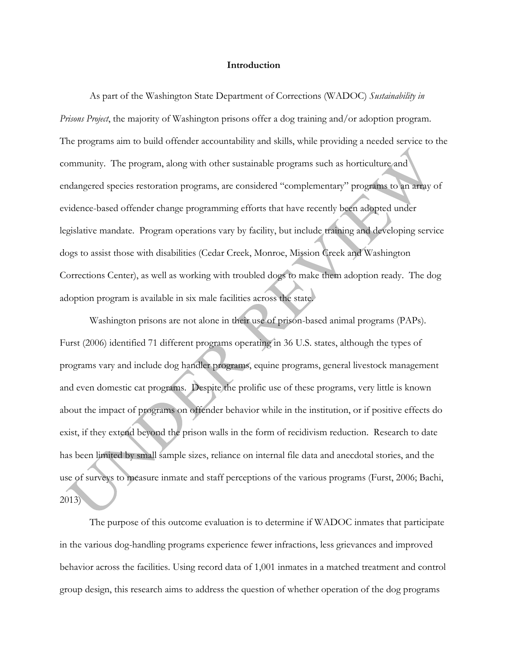#### **Introduction**

As part of the Washington State Department of Corrections (WADOC) *Sustainability in Prisons Project*, the majority of Washington prisons offer a dog training and/or adoption program. The programs aim to build offender accountability and skills, while providing a needed service to the community. The program, along with other sustainable programs such as horticulture and endangered species restoration programs, are considered "complementary" programs to an array of evidence-based offender change programming efforts that have recently been adopted under legislative mandate. Program operations vary by facility, but include training and developing service dogs to assist those with disabilities (Cedar Creek, Monroe, Mission Creek and Washington Corrections Center), as well as working with troubled dogs to make them adoption ready. The dog adoption program is available in six male facilities across the state.

Washington prisons are not alone in their use of prison-based animal programs (PAPs). Furst (2006) identified 71 different programs operating in 36 U.S. states, although the types of programs vary and include dog handler programs, equine programs, general livestock management and even domestic cat programs. Despite the prolific use of these programs, very little is known about the impact of programs on offender behavior while in the institution, or if positive effects do exist, if they extend beyond the prison walls in the form of recidivism reduction. Research to date has been limited by small sample sizes, reliance on internal file data and anecdotal stories, and the use of surveys to measure inmate and staff perceptions of the various programs (Furst, 2006; Bachi, 2013)

The purpose of this outcome evaluation is to determine if WADOC inmates that participate in the various dog-handling programs experience fewer infractions, less grievances and improved behavior across the facilities. Using record data of 1,001 inmates in a matched treatment and control group design, this research aims to address the question of whether operation of the dog programs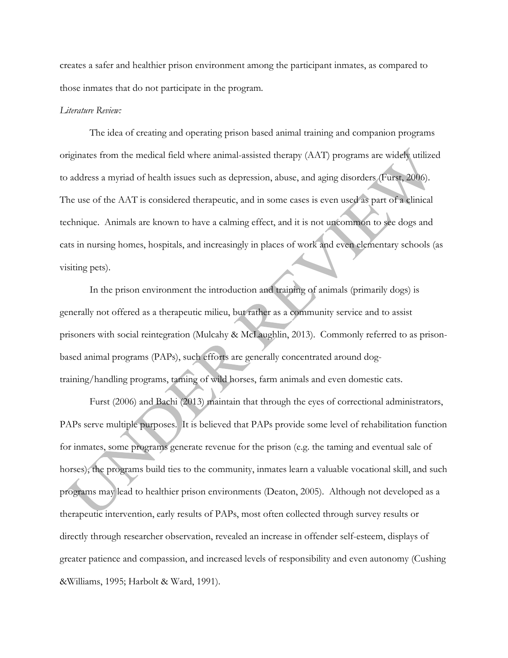creates a safer and healthier prison environment among the participant inmates, as compared to those inmates that do not participate in the program.

#### *Literature Review:*

The idea of creating and operating prison based animal training and companion programs originates from the medical field where animal-assisted therapy (AAT) programs are widely utilized to address a myriad of health issues such as depression, abuse, and aging disorders (Furst, 2006). The use of the AAT is considered therapeutic, and in some cases is even used as part of a clinical technique. Animals are known to have a calming effect, and it is not uncommon to see dogs and cats in nursing homes, hospitals, and increasingly in places of work and even elementary schools (as visiting pets).

In the prison environment the introduction and training of animals (primarily dogs) is generally not offered as a therapeutic milieu, but rather as a community service and to assist prisoners with social reintegration (Mulcahy & McLaughlin, 2013). Commonly referred to as prisonbased animal programs (PAPs), such efforts are generally concentrated around dogtraining/handling programs, taming of wild horses, farm animals and even domestic cats.

Furst (2006) and Bachi (2013) maintain that through the eyes of correctional administrators, PAPs serve multiple purposes. It is believed that PAPs provide some level of rehabilitation function for inmates, some programs generate revenue for the prison (e.g. the taming and eventual sale of horses), the programs build ties to the community, inmates learn a valuable vocational skill, and such programs may lead to healthier prison environments (Deaton, 2005). Although not developed as a therapeutic intervention, early results of PAPs, most often collected through survey results or directly through researcher observation, revealed an increase in offender self-esteem, displays of greater patience and compassion, and increased levels of responsibility and even autonomy (Cushing &Williams, 1995; Harbolt & Ward, 1991).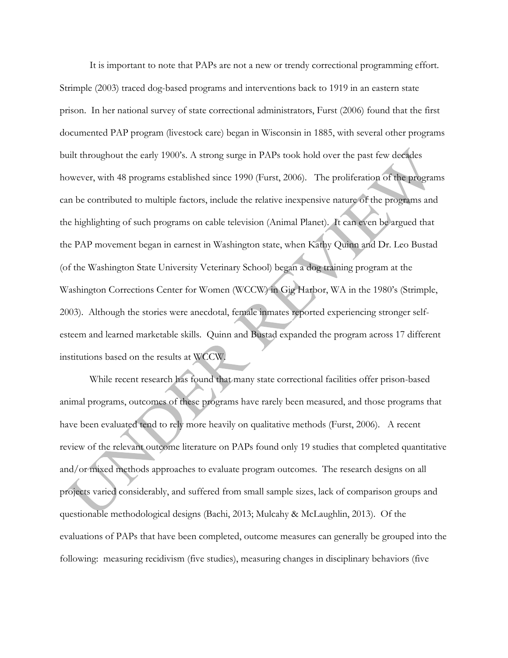It is important to note that PAPs are not a new or trendy correctional programming effort. Strimple (2003) traced dog-based programs and interventions back to 1919 in an eastern state prison. In her national survey of state correctional administrators, Furst (2006) found that the first documented PAP program (livestock care) began in Wisconsin in 1885, with several other programs built throughout the early 1900's. A strong surge in PAPs took hold over the past few decades however, with 48 programs established since 1990 (Furst, 2006). The proliferation of the programs can be contributed to multiple factors, include the relative inexpensive nature of the programs and the highlighting of such programs on cable television (Animal Planet). It can even be argued that the PAP movement began in earnest in Washington state, when Kathy Quinn and Dr. Leo Bustad (of the Washington State University Veterinary School) began a dog training program at the Washington Corrections Center for Women (WCCW) in Gig Harbor, WA in the 1980's (Strimple, 2003). Although the stories were anecdotal, female inmates reported experiencing stronger selfesteem and learned marketable skills. Quinn and Bustad expanded the program across 17 different institutions based on the results at WCCW.

While recent research has found that many state correctional facilities offer prison-based animal programs, outcomes of these programs have rarely been measured, and those programs that have been evaluated tend to rely more heavily on qualitative methods (Furst, 2006). A recent review of the relevant outcome literature on PAPs found only 19 studies that completed quantitative and/or mixed methods approaches to evaluate program outcomes. The research designs on all projects varied considerably, and suffered from small sample sizes, lack of comparison groups and questionable methodological designs (Bachi, 2013; Mulcahy & McLaughlin, 2013). Of the evaluations of PAPs that have been completed, outcome measures can generally be grouped into the following: measuring recidivism (five studies), measuring changes in disciplinary behaviors (five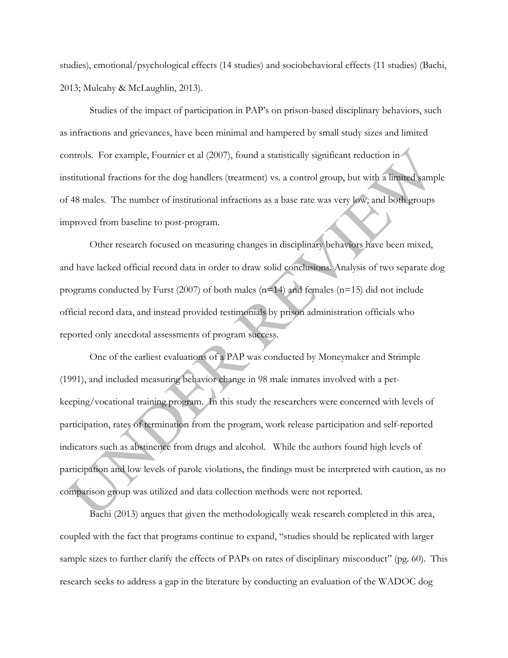studies), emotional/psychological effects (14 studies) and sociobehavioral effects (11 studies) (Bachi, 2013; Mulcahy & McLaughlin, 2013).

Studies of the impact of participation in PAP's on prison-based disciplinary behaviors, such as infractions and grievances, have been minimal and hampered by small study sizes and limited controls. For example, Fournier et al (2007), found a statistically significant reduction in institutional fractions for the dog handlers (treatment) vs. a control group, but with a limited sample of 48 males. The number of institutional infractions as a base rate was very low, and both groups improved from baseline to post-program.

Other research focused on measuring changes in disciplinary behaviors have been mixed, and have lacked official record data in order to draw solid conclusions. Analysis of two separate dog programs conducted by Furst (2007) of both males (n=14) and females (n=15) did not include official record data, and instead provided testimonials by prison administration officials who reported only anecdotal assessments of program success.

One of the earliest evaluations of a PAP was conducted by Moneymaker and Strimple (1991), and included measuring behavior change in 98 male inmates involved with a petkeeping/vocational training program. In this study the researchers were concerned with levels of participation, rates of termination from the program, work release participation and self-reported indicators such as abstinence from drugs and alcohol. While the authors found high levels of participation and low levels of parole violations, the findings must be interpreted with caution, as no comparison group was utilized and data collection methods were not reported.

Bachi (2013) argues that given the methodologically weak research completed in this area, coupled with the fact that programs continue to expand, "studies should be replicated with larger sample sizes to further clarify the effects of PAPs on rates of disciplinary misconduct" (pg. 60). This research seeks to address a gap in the literature by conducting an evaluation of the WADOC dog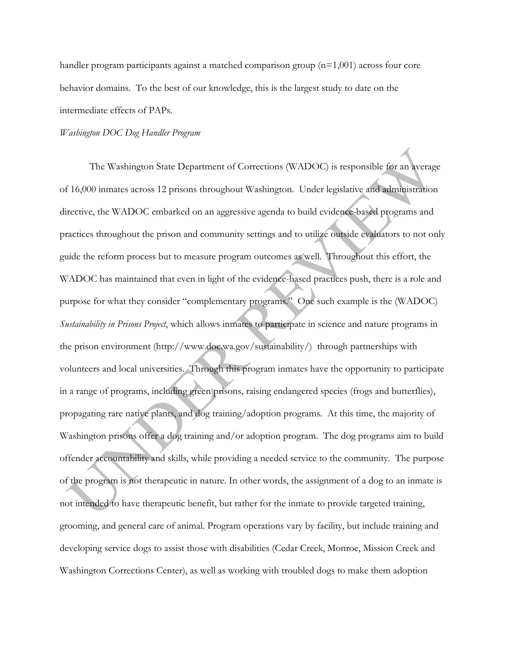handler program participants against a matched comparison group (n=1,001) across four core behavior domains. To the best of our knowledge, this is the largest study to date on the intermediate effects of PAPs.

#### *Washington DOC Dog Handler Program*

The Washington State Department of Corrections (WADOC) is responsible for an average of 16,000 inmates across 12 prisons throughout Washington. Under legislative and administration directive, the WADOC embarked on an aggressive agenda to build evidence-based programs and practices throughout the prison and community settings and to utilize outside evaluators to not only guide the reform process but to measure program outcomes as well. Throughout this effort, the WADOC has maintained that even in light of the evidence-based practices push, there is a role and purpose for what they consider "complementary programs." One such example is the (WADOC) *Sustainability in Prisons Project*, which allows inmates to participate in science and nature programs in the prison environment (http://www.doc.wa.gov/sustainability/) through partnerships with volunteers and local universities. Through this program inmates have the opportunity to participate in a range of programs, including green prisons, raising endangered species (frogs and butterflies), propagating rare native plants, and dog training/adoption programs. At this time, the majority of Washington prisons offer a dog training and/or adoption program. The dog programs aim to build offender accountability and skills, while providing a needed service to the community. The purpose of the program is not therapeutic in nature. In other words, the assignment of a dog to an inmate is not intended to have therapeutic benefit, but rather for the inmate to provide targeted training, grooming, and general care of animal. Program operations vary by facility, but include training and developing service dogs to assist those with disabilities (Cedar Creek, Monroe, Mission Creek and Washington Corrections Center), as well as working with troubled dogs to make them adoption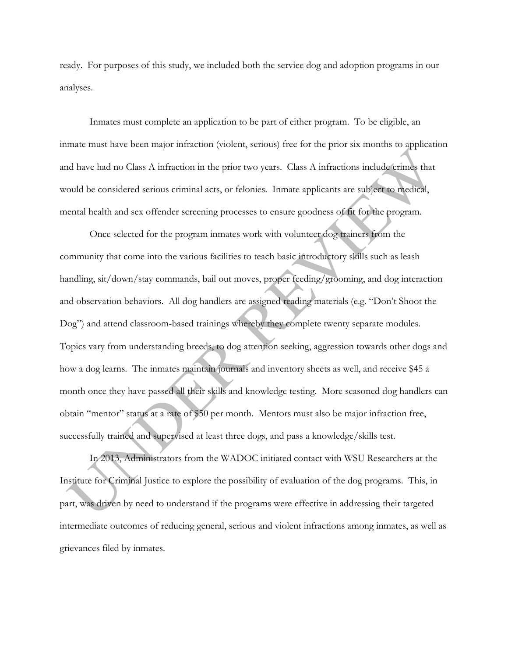ready. For purposes of this study, we included both the service dog and adoption programs in our analyses.

Inmates must complete an application to be part of either program. To be eligible, an inmate must have been major infraction (violent, serious) free for the prior six months to application and have had no Class A infraction in the prior two years. Class A infractions include crimes that would be considered serious criminal acts, or felonies. Inmate applicants are subject to medical, mental health and sex offender screening processes to ensure goodness of fit for the program.

Once selected for the program inmates work with volunteer dog trainers from the community that come into the various facilities to teach basic introductory skills such as leash handling, sit/down/stay commands, bail out moves, proper feeding/grooming, and dog interaction and observation behaviors. All dog handlers are assigned reading materials (e.g. "Don't Shoot the Dog") and attend classroom-based trainings whereby they complete twenty separate modules. Topics vary from understanding breeds, to dog attention seeking, aggression towards other dogs and how a dog learns. The inmates maintain journals and inventory sheets as well, and receive \$45 a month once they have passed all their skills and knowledge testing. More seasoned dog handlers can obtain "mentor" status at a rate of \$50 per month. Mentors must also be major infraction free, successfully trained and supervised at least three dogs, and pass a knowledge/skills test.

In 2013, Administrators from the WADOC initiated contact with WSU Researchers at the Institute for Criminal Justice to explore the possibility of evaluation of the dog programs. This, in part, was driven by need to understand if the programs were effective in addressing their targeted intermediate outcomes of reducing general, serious and violent infractions among inmates, as well as grievances filed by inmates.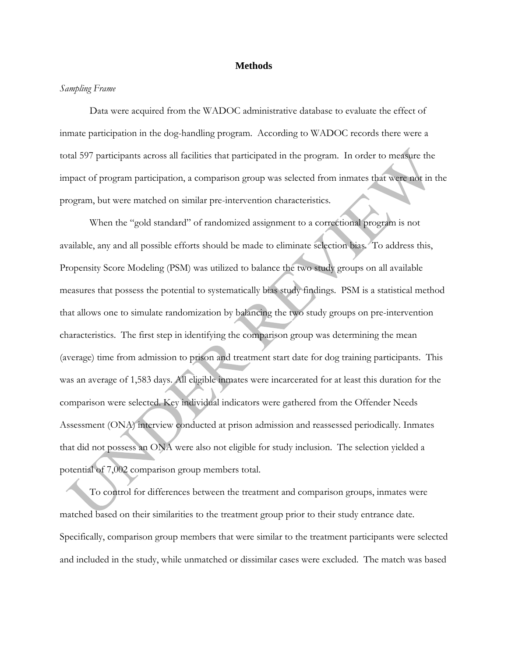#### **Methods**

### *Sampling Frame*

Data were acquired from the WADOC administrative database to evaluate the effect of inmate participation in the dog-handling program. According to WADOC records there were a total 597 participants across all facilities that participated in the program. In order to measure the impact of program participation, a comparison group was selected from inmates that were not in the program, but were matched on similar pre-intervention characteristics.

When the "gold standard" of randomized assignment to a correctional program is not available, any and all possible efforts should be made to eliminate selection bias. To address this, Propensity Score Modeling (PSM) was utilized to balance the two study groups on all available measures that possess the potential to systematically bias study findings. PSM is a statistical method that allows one to simulate randomization by balancing the two study groups on pre-intervention characteristics. The first step in identifying the comparison group was determining the mean (average) time from admission to prison and treatment start date for dog training participants. This was an average of 1,583 days. All eligible inmates were incarcerated for at least this duration for the comparison were selected. Key individual indicators were gathered from the Offender Needs Assessment (ONA) interview conducted at prison admission and reassessed periodically. Inmates that did not possess an ONA were also not eligible for study inclusion. The selection yielded a potential of 7,002 comparison group members total.

To control for differences between the treatment and comparison groups, inmates were matched based on their similarities to the treatment group prior to their study entrance date. Specifically, comparison group members that were similar to the treatment participants were selected and included in the study, while unmatched or dissimilar cases were excluded. The match was based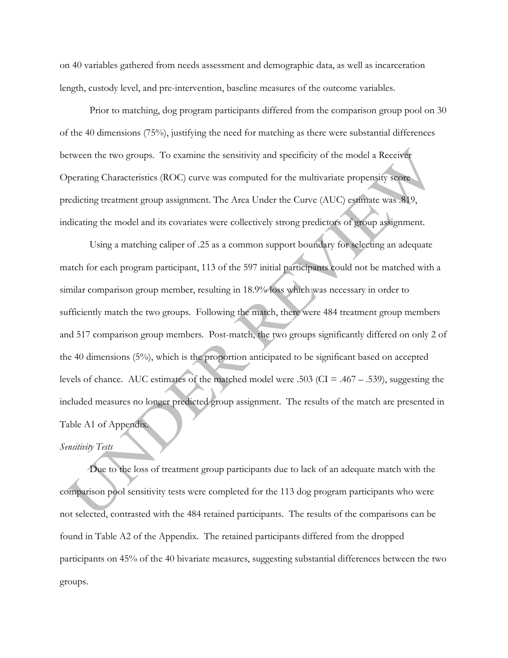on 40 variables gathered from needs assessment and demographic data, as well as incarceration length, custody level, and pre-intervention, baseline measures of the outcome variables.

Prior to matching, dog program participants differed from the comparison group pool on 30 of the 40 dimensions (75%), justifying the need for matching as there were substantial differences between the two groups. To examine the sensitivity and specificity of the model a Receiver Operating Characteristics (ROC) curve was computed for the multivariate propensity score predicting treatment group assignment. The Area Under the Curve (AUC) estimate was .819, indicating the model and its covariates were collectively strong predictors of group assignment.

Using a matching caliper of .25 as a common support boundary for selecting an adequate match for each program participant, 113 of the 597 initial participants could not be matched with a similar comparison group member, resulting in 18.9% loss which was necessary in order to sufficiently match the two groups. Following the match, there were 484 treatment group members and 517 comparison group members. Post-match, the two groups significantly differed on only 2 of the 40 dimensions (5%), which is the proportion anticipated to be significant based on accepted levels of chance. AUC estimates of the matched model were .503 (CI = .467 – .539), suggesting the included measures no longer predicted group assignment. The results of the match are presented in Table A1 of Appendix.

#### *Sensitivity Tests*

Due to the loss of treatment group participants due to lack of an adequate match with the comparison pool sensitivity tests were completed for the 113 dog program participants who were not selected, contrasted with the 484 retained participants. The results of the comparisons can be found in Table A2 of the Appendix. The retained participants differed from the dropped participants on 45% of the 40 bivariate measures, suggesting substantial differences between the two groups.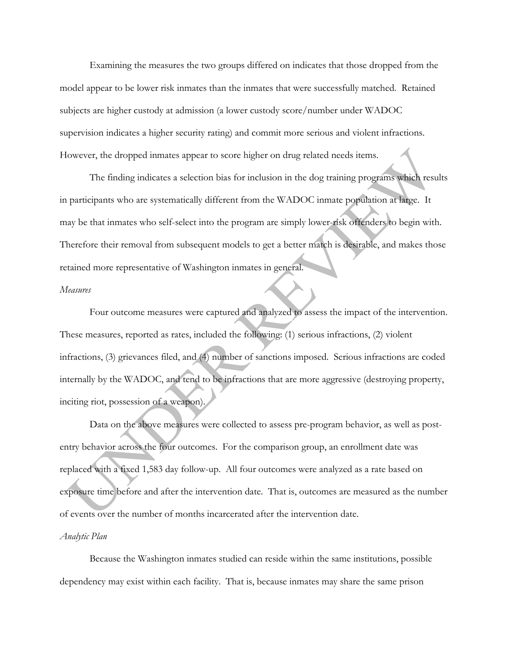Examining the measures the two groups differed on indicates that those dropped from the model appear to be lower risk inmates than the inmates that were successfully matched. Retained subjects are higher custody at admission (a lower custody score/number under WADOC supervision indicates a higher security rating) and commit more serious and violent infractions. However, the dropped inmates appear to score higher on drug related needs items.

The finding indicates a selection bias for inclusion in the dog training programs which results in participants who are systematically different from the WADOC inmate population at large. It may be that inmates who self-select into the program are simply lower-risk offenders to begin with. Therefore their removal from subsequent models to get a better match is desirable, and makes those retained more representative of Washington inmates in general.

### *Measures*

Four outcome measures were captured and analyzed to assess the impact of the intervention. These measures, reported as rates, included the following: (1) serious infractions, (2) violent infractions, (3) grievances filed, and (4) number of sanctions imposed. Serious infractions are coded internally by the WADOC, and tend to be infractions that are more aggressive (destroying property, inciting riot, possession of a weapon).

Data on the above measures were collected to assess pre-program behavior, as well as postentry behavior across the four outcomes. For the comparison group, an enrollment date was replaced with a fixed 1,583 day follow-up. All four outcomes were analyzed as a rate based on exposure time before and after the intervention date. That is, outcomes are measured as the number of events over the number of months incarcerated after the intervention date.

#### *Analytic Plan*

Because the Washington inmates studied can reside within the same institutions, possible dependency may exist within each facility. That is, because inmates may share the same prison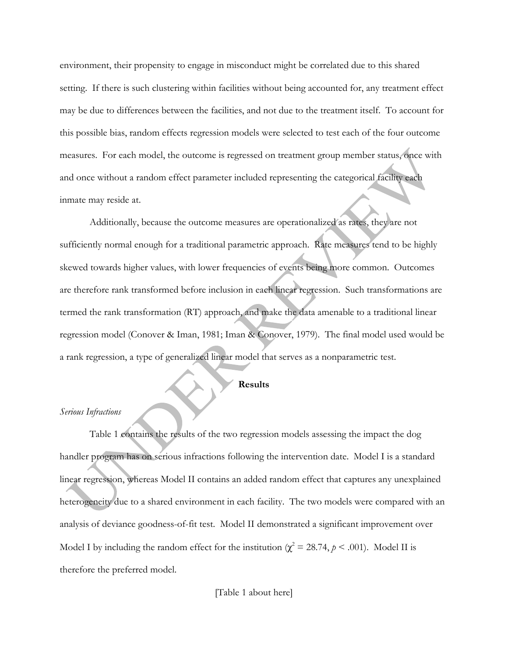environment, their propensity to engage in misconduct might be correlated due to this shared setting. If there is such clustering within facilities without being accounted for, any treatment effect may be due to differences between the facilities, and not due to the treatment itself. To account for this possible bias, random effects regression models were selected to test each of the four outcome measures. For each model, the outcome is regressed on treatment group member status, once with and once without a random effect parameter included representing the categorical facility each inmate may reside at.

Additionally, because the outcome measures are operationalized as rates, they are not sufficiently normal enough for a traditional parametric approach. Rate measures tend to be highly skewed towards higher values, with lower frequencies of events being more common. Outcomes are therefore rank transformed before inclusion in each linear regression. Such transformations are termed the rank transformation (RT) approach, and make the data amenable to a traditional linear regression model (Conover & Iman, 1981; Iman & Conover, 1979). The final model used would be a rank regression, a type of generalized linear model that serves as a nonparametric test.

#### **Results**

#### *Serious Infractions*

Table 1 contains the results of the two regression models assessing the impact the dog handler program has on serious infractions following the intervention date. Model I is a standard linear regression, whereas Model II contains an added random effect that captures any unexplained heterogeneity due to a shared environment in each facility. The two models were compared with an analysis of deviance goodness-of-fit test. Model II demonstrated a significant improvement over Model I by including the random effect for the institution ( $\chi^2 = 28.74$ ,  $p < .001$ ). Model II is therefore the preferred model.

[Table 1 about here]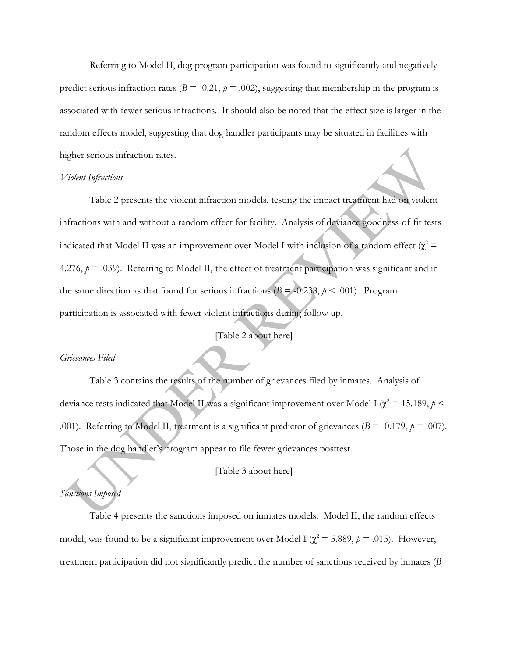Referring to Model II, dog program participation was found to significantly and negatively predict serious infraction rates ( $B = -0.21$ ,  $p = .002$ ), suggesting that membership in the program is associated with fewer serious infractions. It should also be noted that the effect size is larger in the random effects model, suggesting that dog handler participants may be situated in facilities with higher serious infraction rates.

#### *Violent Infractions*

Table 2 presents the violent infraction models, testing the impact treatment had on violent infractions with and without a random effect for facility. Analysis of deviance goodness-of-fit tests indicated that Model II was an improvement over Model I with inclusion of a random effect  $(\chi^2 =$ 4.276,  $p = .039$ ). Referring to Model II, the effect of treatment participation was significant and in the same direction as that found for serious infractions ( $B = -0.238$ ,  $p < .001$ ). Program participation is associated with fewer violent infractions during follow up.

[Table 2 about here]

#### *Grievances Filed*

Table 3 contains the results of the number of grievances filed by inmates. Analysis of deviance tests indicated that Model II was a significant improvement over Model I ( $\chi^2$  = 15.189,  $p$  < .001). Referring to Model II, treatment is a significant predictor of grievances ( $B = -0.179$ ,  $p = .007$ ). Those in the dog handler's program appear to file fewer grievances posttest.

[Table 3 about here]

## *Sanctions Imposed*

Table 4 presents the sanctions imposed on inmates models. Model II, the random effects model, was found to be a significant improvement over Model I ( $\chi^2$  = 5.889,  $p$  = .015). However, treatment participation did not significantly predict the number of sanctions received by inmates (*B*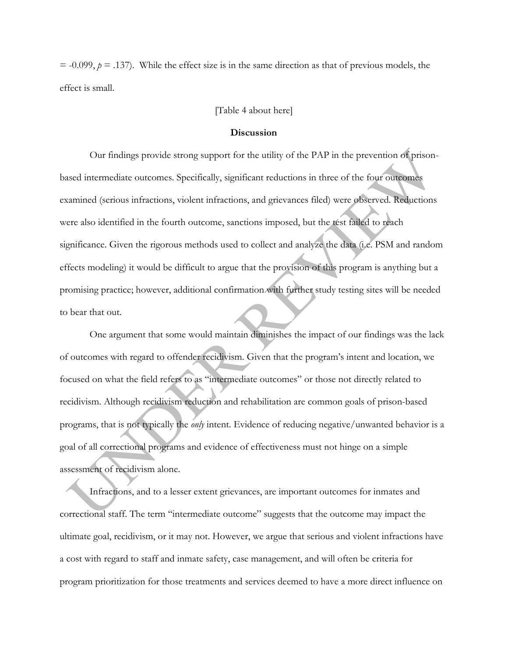$= -0.099$ ,  $p = .137$ ). While the effect size is in the same direction as that of previous models, the effect is small.

#### [Table 4 about here]

#### **Discussion**

Our findings provide strong support for the utility of the PAP in the prevention of prisonbased intermediate outcomes. Specifically, significant reductions in three of the four outcomes examined (serious infractions, violent infractions, and grievances filed) were observed. Reductions were also identified in the fourth outcome, sanctions imposed, but the test failed to reach significance. Given the rigorous methods used to collect and analyze the data (i.e. PSM and random effects modeling) it would be difficult to argue that the provision of this program is anything but a promising practice; however, additional confirmation with further study testing sites will be needed to bear that out.

One argument that some would maintain diminishes the impact of our findings was the lack of outcomes with regard to offender recidivism. Given that the program's intent and location, we focused on what the field refers to as "intermediate outcomes" or those not directly related to recidivism. Although recidivism reduction and rehabilitation are common goals of prison-based programs, that is not typically the *only* intent. Evidence of reducing negative/unwanted behavior is a goal of all correctional programs and evidence of effectiveness must not hinge on a simple assessment of recidivism alone.

Infractions, and to a lesser extent grievances, are important outcomes for inmates and correctional staff. The term "intermediate outcome" suggests that the outcome may impact the ultimate goal, recidivism, or it may not. However, we argue that serious and violent infractions have a cost with regard to staff and inmate safety, case management, and will often be criteria for program prioritization for those treatments and services deemed to have a more direct influence on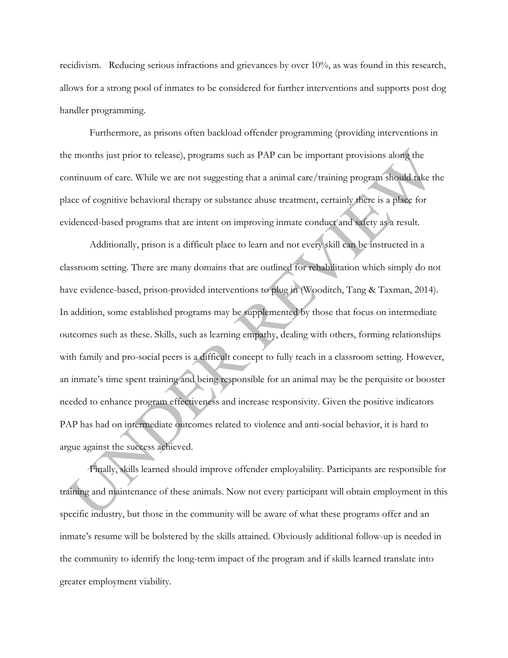recidivism. Reducing serious infractions and grievances by over 10%, as was found in this research, allows for a strong pool of inmates to be considered for further interventions and supports post dog handler programming.

Furthermore, as prisons often backload offender programming (providing interventions in the months just prior to release), programs such as PAP can be important provisions along the continuum of care. While we are not suggesting that a animal care/training program should take the place of cognitive behavioral therapy or substance abuse treatment, certainly there is a place for evidenced-based programs that are intent on improving inmate conduct and safety as a result.

Additionally, prison is a difficult place to learn and not every skill can be instructed in a classroom setting. There are many domains that are outlined for rehabilitation which simply do not have evidence-based, prison-provided interventions to plug in (Wooditch, Tang & Taxman, 2014). In addition, some established programs may be supplemented by those that focus on intermediate outcomes such as these. Skills, such as learning empathy, dealing with others, forming relationships with family and pro-social peers is a difficult concept to fully teach in a classroom setting. However, an inmate's time spent training and being responsible for an animal may be the perquisite or booster needed to enhance program effectiveness and increase responsivity. Given the positive indicators PAP has had on intermediate outcomes related to violence and anti-social behavior, it is hard to argue against the success achieved.

Finally, skills learned should improve offender employability. Participants are responsible for training and maintenance of these animals. Now not every participant will obtain employment in this specific industry, but those in the community will be aware of what these programs offer and an inmate's resume will be bolstered by the skills attained. Obviously additional follow-up is needed in the community to identify the long-term impact of the program and if skills learned translate into greater employment viability.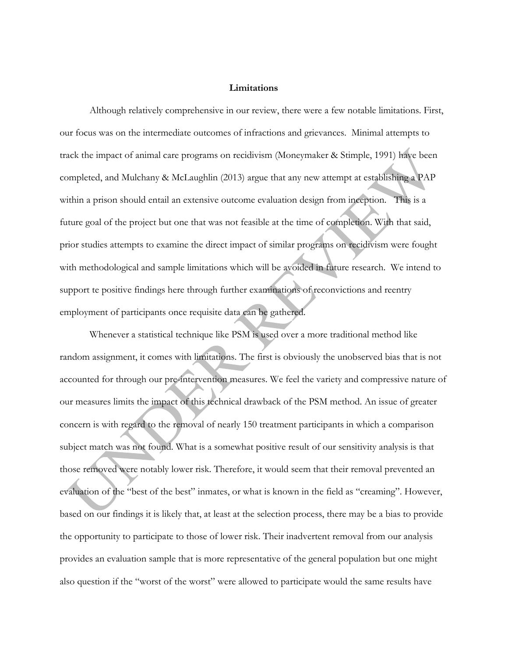#### **Limitations**

Although relatively comprehensive in our review, there were a few notable limitations. First, our focus was on the intermediate outcomes of infractions and grievances. Minimal attempts to track the impact of animal care programs on recidivism (Moneymaker & Stimple, 1991) have been completed, and Mulchany & McLaughlin (2013) argue that any new attempt at establishing a PAP within a prison should entail an extensive outcome evaluation design from inception. This is a future goal of the project but one that was not feasible at the time of completion. With that said, prior studies attempts to examine the direct impact of similar programs on recidivism were fought with methodological and sample limitations which will be avoided in future research. We intend to support te positive findings here through further examinations of reconvictions and reentry employment of participants once requisite data can be gathered.

Whenever a statistical technique like PSM is used over a more traditional method like random assignment, it comes with limitations. The first is obviously the unobserved bias that is not accounted for through our pre-intervention measures. We feel the variety and compressive nature of our measures limits the impact of this technical drawback of the PSM method. An issue of greater concern is with regard to the removal of nearly 150 treatment participants in which a comparison subject match was not found. What is a somewhat positive result of our sensitivity analysis is that those removed were notably lower risk. Therefore, it would seem that their removal prevented an evaluation of the "best of the best" inmates, or what is known in the field as "creaming". However, based on our findings it is likely that, at least at the selection process, there may be a bias to provide the opportunity to participate to those of lower risk. Their inadvertent removal from our analysis provides an evaluation sample that is more representative of the general population but one might also question if the "worst of the worst" were allowed to participate would the same results have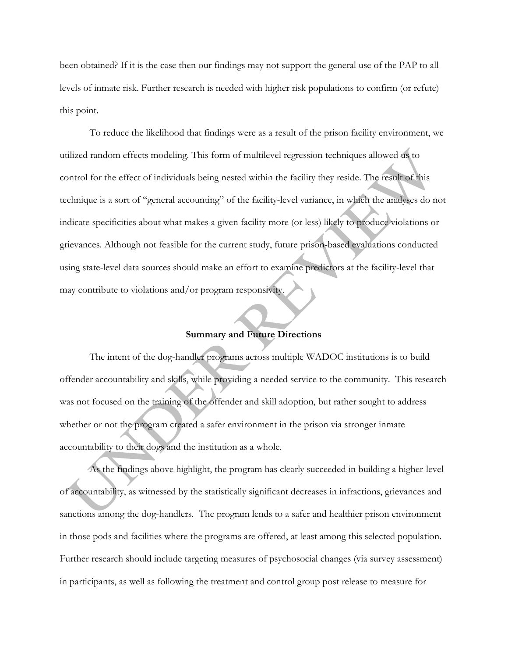been obtained? If it is the case then our findings may not support the general use of the PAP to all levels of inmate risk. Further research is needed with higher risk populations to confirm (or refute) this point.

To reduce the likelihood that findings were as a result of the prison facility environment, we utilized random effects modeling. This form of multilevel regression techniques allowed us to control for the effect of individuals being nested within the facility they reside. The result of this technique is a sort of "general accounting" of the facility-level variance, in which the analyses do not indicate specificities about what makes a given facility more (or less) likely to produce violations or grievances. Although not feasible for the current study, future prison-based evaluations conducted using state-level data sources should make an effort to examine predictors at the facility-level that may contribute to violations and/or program responsivity.

# **Summary and Future Directions**

The intent of the dog-handler programs across multiple WADOC institutions is to build offender accountability and skills, while providing a needed service to the community. This research was not focused on the training of the offender and skill adoption, but rather sought to address whether or not the program created a safer environment in the prison via stronger inmate accountability to their dogs and the institution as a whole.

As the findings above highlight, the program has clearly succeeded in building a higher-level of accountability, as witnessed by the statistically significant decreases in infractions, grievances and sanctions among the dog-handlers. The program lends to a safer and healthier prison environment in those pods and facilities where the programs are offered, at least among this selected population. Further research should include targeting measures of psychosocial changes (via survey assessment) in participants, as well as following the treatment and control group post release to measure for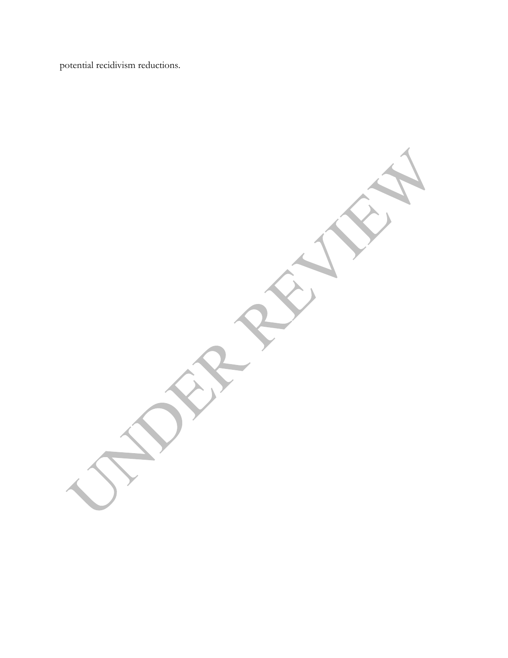potential recidivism reductions.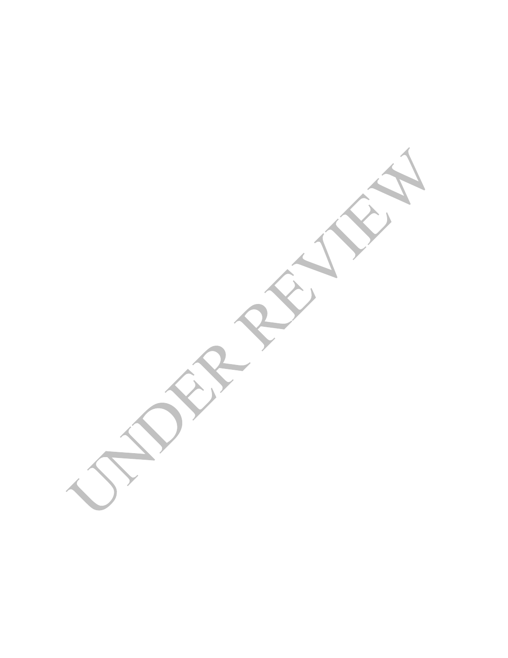**STARFEWALKS**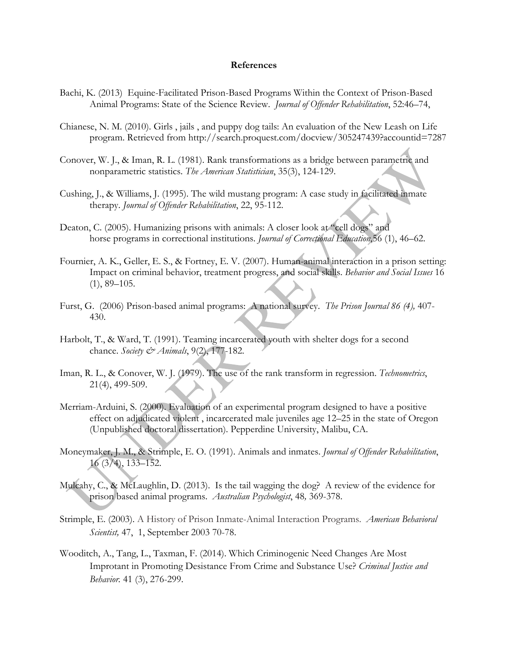#### **References**

- Bachi, K. (2013) Equine-Facilitated Prison-Based Programs Within the Context of Prison-Based Animal Programs: State of the Science Review. *Journal of Offender Rehabilitation*, 52:46–74,
- Chianese, N. M. (2010). Girls , jails , and puppy dog tails: An evaluation of the New Leash on Life program. Retrieved from http://search.proquest.com/docview/305247439?accountid=7287
- Conover, W. J., & Iman, R. L. (1981). Rank transformations as a bridge between parametric and nonparametric statistics. *The American Statistician*, 35(3), 124-129.
- Cushing, J., & Williams, J. (1995). The wild mustang program: A case study in facilitated inmate therapy. *Journal of Offender Rehabilitation*, 22, 95-112.
- Deaton, C. (2005). Humanizing prisons with animals: A closer look at "cell dogs" and horse programs in correctional institutions. *Journal of Correctional Education*,56 (1), 46–62.
- Fournier, A. K., Geller, E. S., & Fortney, E. V. (2007). Human-animal interaction in a prison setting: Impact on criminal behavior, treatment progress, and social skills. *Behavior and Social Issues* 16  $(1), 89 - 105.$
- Furst, G. (2006) Prison-based animal programs: A national survey. *The Prison Journal 86 (4),* 407- 430.
- Harbolt, T., & Ward, T. (1991). Teaming incarcerated youth with shelter dogs for a second chance. *Society & Animals*, 9(2), 177-182.
- Iman, R. L., & Conover, W. J. (1979). The use of the rank transform in regression. *Technometrics*, 21(4), 499-509.
- Merriam-Arduini, S. (2000). Evaluation of an experimental program designed to have a positive effect on adjudicated violent , incarcerated male juveniles age 12–25 in the state of Oregon (Unpublished doctoral dissertation). Pepperdine University, Malibu, CA.
- Moneymaker, J. M., & Strimple, E. O. (1991). Animals and inmates. *Journal of Offender Rehabilitation*, 16 (3/4), 133–152.
- Mulcahy, C., & McLaughlin, D. (2013). Is the tail wagging the dog? A review of the evidence for prison based animal programs. *Australian Psychologist*, 48*,* 369-378.
- Strimple, E. (2003). A History of Prison Inmate-Animal Interaction Programs. *American Behavioral Scientist,* 47, 1, September 2003 70-78.
- Wooditch, A., Tang, L., Taxman, F. (2014). Which Criminogenic Need Changes Are Most Improtant in Promoting Desistance From Crime and Substance Use? *Criminal Justice and Behavior.* 41 (3), 276-299.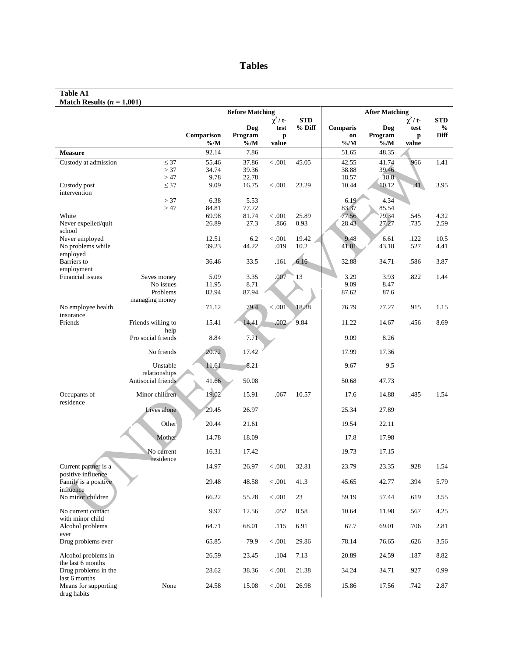#### **Table A1 Match Results (** $n = 1.001$ **)**

| $\alpha$ and $\alpha$ and $\alpha$ $\alpha$ $\beta$ |                            |                | <b>Before Matching</b> |                 |               | <b>After Matching</b> |                |                      |                              |
|-----------------------------------------------------|----------------------------|----------------|------------------------|-----------------|---------------|-----------------------|----------------|----------------------|------------------------------|
|                                                     |                            |                |                        | $\gamma^2/t$ -  | <b>STD</b>    |                       |                | $\chi^2/t$ -         | <b>STD</b>                   |
|                                                     |                            | Comparison     | Dog<br>Program         | test<br>p       | $%$ Diff      | <b>Comparis</b><br>on | Dog<br>Program | test<br>$\mathbf{p}$ | $\frac{0}{0}$<br><b>Diff</b> |
|                                                     |                            | $\%$ /M        | $\%$ /M                | value           |               | $\% / M$              | $\%$ /M        | value                |                              |
| <b>Measure</b>                                      |                            | 92.14          | 7.86                   |                 |               | 51.65                 | 48.35          |                      |                              |
| Custody at admission                                | $\leq 37$                  | 55.46          | 37.86                  | $<.001$         | 45.05         | 42.55                 | 41.74          | .966                 | 1.41                         |
|                                                     | > 37<br>>47                | 34.74<br>9.78  | 39.36<br>22.78         |                 |               | 38.88<br>18.57        | 39.46<br>18.8  |                      |                              |
| Custody post                                        | $\leq$ 37                  | 9.09           | 16.75                  | < 0.001         | 23.29         | 10.44                 | 10.12          | .41                  | 3.95                         |
| intervention                                        |                            |                |                        |                 |               |                       |                |                      |                              |
|                                                     | > 37                       | 6.38           | 5.53                   |                 |               | 6.19                  | 4.34           |                      |                              |
|                                                     | >47                        | 84.81          | 77.72                  |                 |               | 83.37                 | 85.54          |                      |                              |
| White<br>Never expelled/quit                        |                            | 69.98<br>26.89 | 81.74<br>27.3          | $<.001$<br>.866 | 25.89<br>0.93 | 77.56<br>28.43        | 79.34<br>27.27 | .545<br>.735         | 4.32<br>2.59                 |
| school                                              |                            |                |                        |                 |               |                       |                |                      |                              |
| Never employed                                      |                            | 12.51          | 6.2                    | $<.001$         | 19.42         | 9.48                  | 6.61           | .122                 | 10.5                         |
| No problems while                                   |                            | 39.23          | 44.22                  | .019            | 10.2          | 41.01                 | 43.18          | .527                 | 4.41                         |
| employed<br>Barriers to                             |                            | 36.46          | 33.5                   | .161            | 6.16          | 32.88                 | 34.71          | .586                 | 3.87                         |
| employment                                          |                            |                |                        |                 |               |                       |                |                      |                              |
| Financial issues                                    | Saves money                | 5.09           | 3.35                   | .007            | 13            | 3.29                  | 3.93           | .822                 | 1.44                         |
|                                                     | No issues                  | 11.95          | 8.71                   |                 |               | 9.09                  | 8.47           |                      |                              |
|                                                     | Problems                   | 82.94          | 87.94                  |                 |               | 87.62                 | 87.6           |                      |                              |
| No employee health                                  | managing money             | 71.12          | 79.4                   | $<.001\,$       | 18.38         | 76.79                 | 77.27          | .915                 | 1.15                         |
| insurance                                           |                            |                |                        |                 |               |                       |                |                      |                              |
| Friends                                             | Friends willing to         | 15.41          | 14.41                  | .002            | 9.84          | 11.22                 | 14.67          | .456                 | 8.69                         |
|                                                     | help<br>Pro social friends | 8.84           | 7.71                   |                 |               | 9.09                  | 8.26           |                      |                              |
|                                                     |                            |                |                        |                 |               |                       |                |                      |                              |
|                                                     | No friends                 | 20.72          | 17.42                  |                 |               | 17.99                 | 17.36          |                      |                              |
|                                                     | Unstable<br>relationships  | 11.61          | 8.21                   |                 |               | 9.67                  | 9.5            |                      |                              |
|                                                     | Antisocial friends         | 41.66          | 50.08                  |                 |               | 50.68                 | 47.73          |                      |                              |
| Occupants of                                        | Minor children             | 19.02          | 15.91                  | .067            | 10.57         | 17.6                  | 14.88          | .485                 | 1.54                         |
| residence                                           | Lives alone                | 29.45          | 26.97                  |                 |               | 25.34                 | 27.89          |                      |                              |
|                                                     | Other                      | 20.44          | 21.61                  |                 |               | 19.54                 | 22.11          |                      |                              |
|                                                     | Mother                     | 14.78          | 18.09                  |                 |               | 17.8                  | 17.98          |                      |                              |
|                                                     | No current                 | 16.31          | 17.42                  |                 |               | 19.73                 | 17.15          |                      |                              |
|                                                     | residence                  |                |                        |                 |               |                       |                |                      |                              |
| Current partner is a<br>positive influence          |                            | 14.97          | 26.97                  | < 0.001         | 32.81         | 23.79                 | 23.35          | .928                 | 1.54                         |
| Family is a positive<br>influence                   |                            | 29.48          | 48.58                  | $<.001\,$       | 41.3          | 45.65                 | 42.77          | .394                 | 5.79                         |
| No minor children                                   |                            | 66.22          | 55.28                  | $<.001\,$       | $23\,$        | 59.19                 | 57.44          | .619                 | 3.55                         |
| No current contact                                  |                            | 9.97           | 12.56                  | .052            | 8.58          | 10.64                 | 11.98          | .567                 | 4.25                         |
| with minor child<br>Alcohol problems                |                            | 64.71          | 68.01                  | .115            | 6.91          | 67.7                  | 69.01          | .706                 | 2.81                         |
| ever<br>Drug problems ever                          |                            | 65.85          | 79.9                   | $<.001$         | 29.86         | 78.14                 | 76.65          | .626                 | 3.56                         |
| Alcohol problems in                                 |                            | 26.59          | 23.45                  | .104            | 7.13          | 20.89                 | 24.59          | .187                 | 8.82                         |
| the last 6 months                                   |                            |                |                        |                 |               |                       |                |                      |                              |
| Drug problems in the<br>last 6 months               |                            | 28.62          | 38.36                  | $<.001$         | 21.38         | 34.24                 | 34.71          | .927                 | 0.99                         |
| Means for supporting<br>drug habits                 | None                       | 24.58          | 15.08                  | $<.001\,$       | 26.98         | 15.86                 | 17.56          | .742                 | 2.87                         |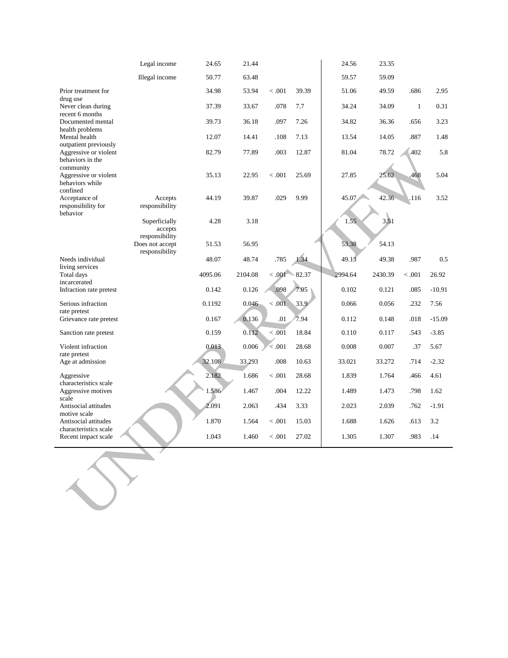|                                                        | Legal income                                        | 24.65   | 21.44     |           |       | 24.56   | 23.35   |              |          |  |
|--------------------------------------------------------|-----------------------------------------------------|---------|-----------|-----------|-------|---------|---------|--------------|----------|--|
|                                                        | Illegal income                                      | 50.77   | 63.48     |           |       | 59.57   | 59.09   |              |          |  |
| Prior treatment for                                    |                                                     | 34.98   | 53.94     | < .001    | 39.39 | 51.06   | 49.59   | .686         | 2.95     |  |
| drug use<br>Never clean during                         |                                                     | 37.39   | 33.67     | .078      | 7.7   | 34.24   | 34.09   | $\mathbf{1}$ | 0.31     |  |
| recent 6 months<br>Documented mental                   |                                                     | 39.73   | 36.18     | .097      | 7.26  | 34.82   | 36.36   | .656         | 3.23     |  |
| health problems<br>Mental health                       |                                                     | 12.07   | 14.41     | .108      | 7.13  | 13.54   | 14.05   | .887         | 1.48     |  |
| outpatient previously<br>Aggressive or violent         |                                                     | 82.79   | 77.89     | .003      | 12.87 | 81.04   | 78.72   | .402         | 5.8      |  |
| behaviors in the<br>community<br>Aggressive or violent |                                                     | 35.13   | 22.95     | $<.001$   | 25.69 | 27.85   | 25.62   | 468          | 5.04     |  |
| behaviors while<br>confined                            |                                                     |         |           |           |       |         |         |              |          |  |
| Acceptance of<br>responsibility for                    | Accepts<br>responsibility                           | 44.19   | 39.87     | .029      | 9.99  | 45.07   | 42.36   | .116         | 3.52     |  |
| behavior                                               | Superficially<br>accepts                            | 4.28    | 3.18      |           |       | 1.55    | 3.51    |              |          |  |
|                                                        | responsibility<br>Does not accept<br>responsibility | 51.53   | 56.95     |           |       | 53.38   | 54.13   |              |          |  |
| Needs individual                                       |                                                     | 48.07   | 48.74     | .785      | 1.34  | 49.13   | 49.38   | .987         | 0.5      |  |
| living services<br>Total days<br>incarcerated          |                                                     | 4095.06 | 2104.08   | < 0.001   | 82.37 | 2994.64 | 2430.39 | < 0.001      | 26.92    |  |
| Infraction rate pretest                                |                                                     | 0.142   | 0.126     | .098      | 7.05  | 0.102   | 0.121   | .085         | $-10.91$ |  |
| Serious infraction<br>rate pretest                     |                                                     | 0.1192  | $0.046 -$ | < 0.001   | 33.9  | 0.066   | 0.056   | .232         | 7.56     |  |
| Grievance rate pretest                                 |                                                     | 0.167   | 0.136     | .01       | 7.94  | 0.112   | 0.148   | .018         | $-15.09$ |  |
| Sanction rate pretest                                  |                                                     | 0.159   | 0.112     | < 0.001   | 18.84 | 0.110   | 0.117   | .543         | $-3.85$  |  |
| Violent infraction<br>rate pretest                     |                                                     | 0.013   | 0.006     | < 0.001   | 28.68 | 0.008   | 0.007   | .37          | 5.67     |  |
| Age at admission                                       |                                                     | 32.108  | 33.293    | .008      | 10.63 | 33.021  | 33.272  | .714         | $-2.32$  |  |
| Aggressive<br>characteristics scale                    |                                                     | 2.182   | 1.686     | < .001    | 28.68 | 1.839   | 1.764   | .466         | 4.61     |  |
| Aggressive motives<br>scale                            |                                                     | 1.586   | 1.467     | .004      | 12.22 | 1.489   | 1.473   | .798         | 1.62     |  |
| Antisocial attitudes<br>motive scale                   |                                                     | 2.091   | 2.063     | .434      | 3.33  | 2.023   | 2.039   | .762         | $-1.91$  |  |
| Antisocial attitudes<br>characteristics scale          |                                                     | 1.870   | 1.564     | < .001    | 15.03 | 1.688   | 1.626   | .613         | 3.2      |  |
| Recent impact scale                                    |                                                     | 1.043   | 1.460     | $<.001\,$ | 27.02 | 1.305   | 1.307   | .983         | .14      |  |
|                                                        |                                                     |         |           |           |       |         |         |              |          |  |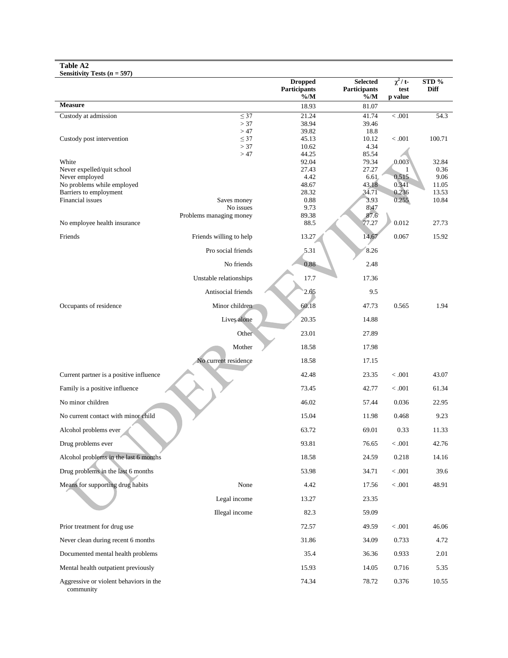#### **Table A2**

| Sensitivity Tests $(n = 597)$                       |                               |                                       |                                        |                      |                      |
|-----------------------------------------------------|-------------------------------|---------------------------------------|----------------------------------------|----------------------|----------------------|
|                                                     |                               | <b>Dropped</b><br><b>Participants</b> | <b>Selected</b><br><b>Participants</b> | $\chi^2/t$ -<br>test | STD %<br><b>Diff</b> |
|                                                     |                               | $\%$ /M                               | $\%$ /M                                | p value              |                      |
| <b>Measure</b>                                      |                               | 18.93                                 | 81.07                                  |                      |                      |
| Custody at admission                                | $\leq$ 37<br>> 37             | 21.24<br>38.94                        | 41.74<br>39.46                         | $<.001$              | 54.3                 |
|                                                     | >47                           | 39.82                                 | 18.8                                   |                      |                      |
| Custody post intervention                           | $\leq 37$                     | 45.13                                 | 10.12                                  | < 0.001              | 100.71               |
|                                                     | > 37<br>>47                   | 10.62<br>44.25                        | 4.34<br>85.54                          |                      |                      |
| White                                               |                               | 92.04                                 | 79.34                                  | ,0.003               | 32.84                |
| Never expelled/quit school                          |                               | 27.43                                 | 27.27                                  | 1                    | 0.36                 |
| Never employed<br>No problems while employed        |                               | 4.42<br>48.67                         | 6.61<br>43.18                          | 0.515<br>0.341       | 9.06<br>11.05        |
| Barriers to employment                              |                               | 28.32                                 | 34.71                                  | 0.236                | 13.53                |
| Financial issues                                    | Saves money<br>No issues      | 0.88<br>9.73                          | 3.93<br>8.47                           | 0.255                | 10.84                |
|                                                     | Problems managing money       | 89.38                                 | 87.6                                   |                      |                      |
| No employee health insurance                        |                               | 88.5                                  | 77.27                                  | 0.012                | 27.73                |
| Friends                                             | Friends willing to help       | 13.27                                 | 14.67                                  | 0.067                | 15.92                |
|                                                     | Pro social friends            | 5.31                                  | 8.26                                   |                      |                      |
|                                                     | No friends                    | 0.88                                  | 2.48                                   |                      |                      |
|                                                     | Unstable relationships        | 17.7                                  | 17.36                                  |                      |                      |
|                                                     | Antisocial friends            | 2.65                                  | 9.5                                    |                      |                      |
| Occupants of residence                              | Minor children<br>Lives alone | 60.18<br>20.35                        | 47.73<br>14.88                         | 0.565                | 1.94                 |
|                                                     | Other                         | 23.01                                 | 27.89                                  |                      |                      |
|                                                     | Mother                        | 18.58                                 | 17.98                                  |                      |                      |
|                                                     | No current residence          | 18.58                                 | 17.15                                  |                      |                      |
| Current partner is a positive influence             |                               | 42.48                                 | 23.35                                  | $<.001$              | 43.07                |
| Family is a positive influence                      |                               | 73.45                                 | 42.77                                  | $<.001$              | 61.34                |
| No minor children                                   |                               | 46.02                                 | 57.44                                  | 0.036                | 22.95                |
| No current contact with minor child                 |                               | 15.04                                 | 11.98                                  | 0.468                | 9.23                 |
| Alcohol problems ever                               |                               | 63.72                                 | 69.01                                  | 0.33                 | 11.33                |
| Drug problems ever                                  |                               | 93.81                                 | 76.65                                  | $<.001\,$            | 42.76                |
| Alcohol problems in the last 6 months               |                               | 18.58                                 | 24.59                                  | 0.218                | 14.16                |
| Drug problems in the last 6 months                  |                               | 53.98                                 | 34.71                                  | < 0.001              | 39.6                 |
| Means for supporting drug habits                    | None                          | 4.42                                  | 17.56                                  | < 0.001              | 48.91                |
|                                                     | Legal income                  | 13.27                                 | 23.35                                  |                      |                      |
|                                                     | Illegal income                | 82.3                                  | 59.09                                  |                      |                      |
| Prior treatment for drug use                        |                               | 72.57                                 | 49.59                                  | $<.001$              | 46.06                |
| Never clean during recent 6 months                  |                               | 31.86                                 | 34.09                                  | 0.733                | 4.72                 |
| Documented mental health problems                   |                               | 35.4                                  | 36.36                                  | 0.933                | 2.01                 |
| Mental health outpatient previously                 |                               | 15.93                                 | 14.05                                  | 0.716                | 5.35                 |
| Aggressive or violent behaviors in the<br>community |                               | 74.34                                 | 78.72                                  | 0.376                | 10.55                |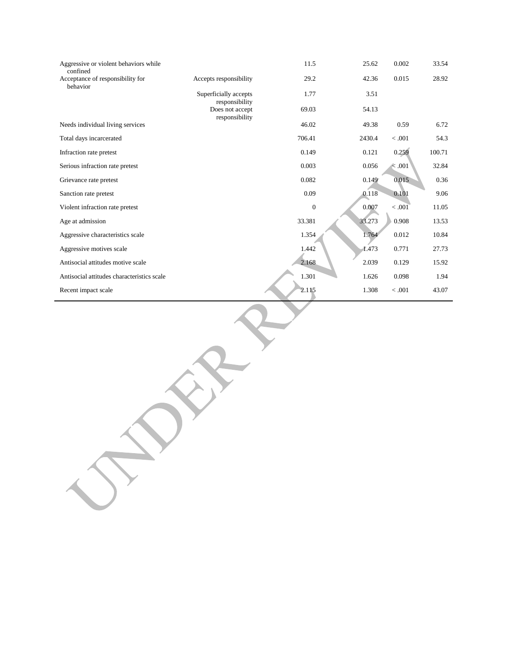| Aggressive or violent behaviors while<br>confined |                                                     | 11.5     | 25.62  | 0.002       | 33.54  |
|---------------------------------------------------|-----------------------------------------------------|----------|--------|-------------|--------|
| Acceptance of responsibility for<br>behavior      | Accepts responsibility                              | 29.2     | 42.36  | 0.015       | 28.92  |
|                                                   | Superficially accepts                               | 1.77     | 3.51   |             |        |
|                                                   | responsibility<br>Does not accept<br>responsibility | 69.03    | 54.13  |             |        |
| Needs individual living services                  |                                                     | 46.02    | 49.38  | 0.59        | 6.72   |
| Total days incarcerated                           |                                                     | 706.41   | 2430.4 | < .001      | 54.3   |
| Infraction rate pretest                           |                                                     | 0.149    | 0.121  | 0.259       | 100.71 |
| Serious infraction rate pretest                   |                                                     | 0.003    | 0.056  | $\leq .001$ | 32.84  |
| Grievance rate pretest                            |                                                     | 0.082    | 0.149  | 0.015       | 0.36   |
| Sanction rate pretest                             |                                                     | 0.09     | 0.118  | 0.101       | 9.06   |
| Violent infraction rate pretest                   |                                                     | $\Omega$ | 0.007  | < .001      | 11.05  |
| Age at admission                                  |                                                     | 33.381   | 33.273 | 0.908       | 13.53  |
| Aggressive characteristics scale                  |                                                     | 1.354    | 1.764  | 0.012       | 10.84  |
| Aggressive motives scale                          |                                                     | 1.442    | 1.473  | 0.771       | 27.73  |
| Antisocial attitudes motive scale                 |                                                     | 2.168    | 2.039  | 0.129       | 15.92  |
| Antisocial attitudes characteristics scale        |                                                     | 1.301    | 1.626  | 0.098       | 1.94   |
| Recent impact scale                               |                                                     | 2.115    | 1.308  | < .001      | 43.07  |

J Prince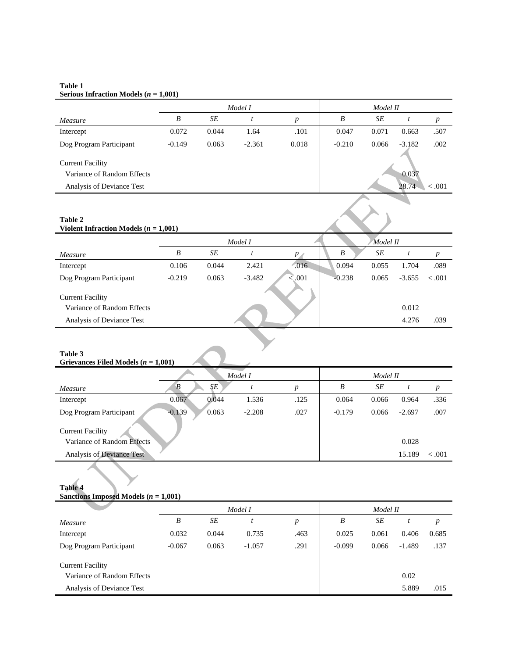#### **Table 1 Serious Infraction Models (***n* **= 1,001)**

|                                                      |                  |                                  | Model I          |                   | Model II                 |                  |                                          |                  |  |
|------------------------------------------------------|------------------|----------------------------------|------------------|-------------------|--------------------------|------------------|------------------------------------------|------------------|--|
| Measure                                              | $\boldsymbol{B}$ | $\cal SE$                        | $\boldsymbol{t}$ | $\boldsymbol{p}$  | $\boldsymbol{B}$         | $\cal SE$        | $\boldsymbol{t}$                         | $\boldsymbol{p}$ |  |
| Intercept                                            | 0.072            | 0.044                            | 1.64             | .101              | 0.047                    | 0.071            | 0.663                                    | .507             |  |
| Dog Program Participant                              | $-0.149$         | 0.063                            | $-2.361$         | 0.018             | $-0.210$                 | 0.066            | $-3.182$                                 | .002             |  |
|                                                      |                  |                                  |                  |                   |                          |                  |                                          |                  |  |
| <b>Current Facility</b>                              |                  |                                  |                  |                   |                          |                  |                                          |                  |  |
| Variance of Random Effects                           |                  |                                  |                  |                   |                          |                  | 0.037                                    |                  |  |
| Analysis of Deviance Test                            |                  |                                  |                  |                   |                          |                  | 28.74                                    | < .001           |  |
|                                                      |                  |                                  |                  |                   |                          |                  |                                          |                  |  |
|                                                      |                  |                                  |                  |                   |                          |                  |                                          |                  |  |
| Table 2<br>Violent Infraction Models ( $n = 1,001$ ) |                  |                                  |                  |                   |                          |                  |                                          |                  |  |
|                                                      |                  |                                  |                  |                   |                          |                  |                                          |                  |  |
|                                                      | Model I          |                                  |                  |                   |                          | Model II         |                                          |                  |  |
| Measure                                              | $\boldsymbol{B}$ | SE                               | $\boldsymbol{t}$ | $p_{\mathcal{A}}$ | $\boldsymbol{B}$         | SE               | $\boldsymbol{t}$                         | $\boldsymbol{p}$ |  |
| Intercept                                            | 0.106            | 0.044                            | 2.421            | .016              | 0.094                    | 0.055            | 1.704                                    | .089             |  |
| Dog Program Participant                              | $-0.219$         | 0.063                            | $-3.482$         | &0.001            | $-0.238$                 | 0.065            | $-3.655$                                 | $-.001$          |  |
|                                                      |                  |                                  |                  |                   |                          |                  |                                          |                  |  |
| <b>Current Facility</b>                              |                  |                                  |                  |                   |                          |                  |                                          |                  |  |
| Variance of Random Effects                           |                  |                                  |                  |                   |                          |                  | 0.012                                    |                  |  |
| Analysis of Deviance Test                            |                  |                                  |                  |                   |                          |                  | 4.276                                    | .039             |  |
|                                                      |                  |                                  |                  |                   |                          |                  |                                          |                  |  |
|                                                      |                  |                                  |                  |                   |                          |                  |                                          |                  |  |
| Table 3<br>Grievances Filed Models ( $n = 1,001$ )   |                  |                                  |                  |                   |                          |                  |                                          |                  |  |
|                                                      |                  |                                  |                  |                   |                          |                  |                                          |                  |  |
|                                                      |                  |                                  | Model I          |                   |                          | Model II         |                                          |                  |  |
| Measure                                              | $\boldsymbol{B}$ | $\mathcal{S}E$<br>0 <sup>0</sup> | t                | p                 | $\boldsymbol{B}$<br>0.01 | SE<br>$\sim$ - - | $\boldsymbol{t}$<br>$\sim$ $\sim$ $\sim$ | $\boldsymbol{p}$ |  |

| Measure                                                                                   | B        | SE    |          | n    | B        | SE    |                 | p       |
|-------------------------------------------------------------------------------------------|----------|-------|----------|------|----------|-------|-----------------|---------|
| Intercept                                                                                 | 0.067    | 0.044 | 1.536    | .125 | 0.064    | 0.066 | 0.964           | .336    |
| Dog Program Participant                                                                   | $-0.139$ | 0.063 | $-2.208$ | .027 | $-0.179$ | 0.066 | $-2.697$        | .007    |
| <b>Current Facility</b><br>Variance of Random Effects<br><b>Analysis of Deviance Test</b> |          |       |          |      |          |       | 0.028<br>15.189 | < 0.001 |

#### **Table 4 Sanctions Imposed Models (***n* **= 1,001)**

|                                                       | Model I  |       |          |      | Model II |       |          |       |  |
|-------------------------------------------------------|----------|-------|----------|------|----------|-------|----------|-------|--|
| Measure                                               | B        | SE    |          | n    | B        | SE    |          | p     |  |
| Intercept                                             | 0.032    | 0.044 | 0.735    | .463 | 0.025    | 0.061 | 0.406    | 0.685 |  |
| Dog Program Participant                               | $-0.067$ | 0.063 | $-1.057$ | .291 | $-0.099$ | 0.066 | $-1.489$ | .137  |  |
| <b>Current Facility</b><br>Variance of Random Effects |          |       |          |      |          |       | 0.02     |       |  |
| Analysis of Deviance Test                             |          |       |          |      |          |       | 5.889    | .015  |  |